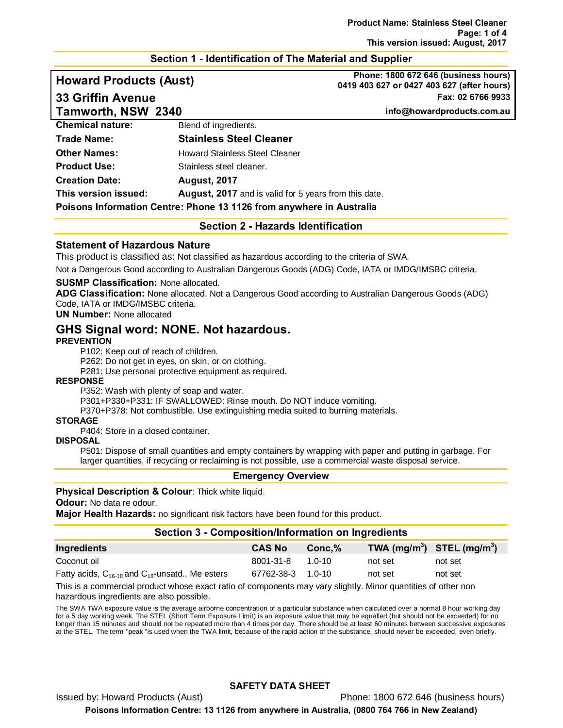# **Section 1 - Identification of The Material and Supplier**

# **Howard Products (Aust) Phone: 1800 672 646 (business hours) 33 Griffin Avenue Fax: 02 6766 9933 Tamworth, NSW 2340 info@howardproducts.com.au**

**0419 403 627 or 0427 403 627 (after hours)**

**Section 2 - Hazards Identification**

#### **Statement of Hazardous Nature**

This product is classified as: Not classified as hazardous according to the criteria of SWA.

Not a Dangerous Good according to Australian Dangerous Goods (ADG) Code, IATA or IMDG/IMSBC criteria.

#### **SUSMP Classification:** None allocated.

**ADG Classification:** None allocated. Not a Dangerous Good according to Australian Dangerous Goods (ADG) Code, IATA or IMDG/IMSBC criteria.

**UN Number:** None allocated

# **GHS Signal word: NONE. Not hazardous.**

#### **PREVENTION**

P102: Keep out of reach of children.

P262: Do not get in eyes, on skin, or on clothing.

P281: Use personal protective equipment as required.

#### **RESPONSE**

P352: Wash with plenty of soap and water.

P301+P330+P331: IF SWALLOWED: Rinse mouth. Do NOT induce vomiting.

P370+P378: Not combustible. Use extinguishing media suited to burning materials.

#### **STORAGE**

P404: Store in a closed container.

#### **DISPOSAL**

P501: Dispose of small quantities and empty containers by wrapping with paper and putting in garbage. For larger quantities, if recycling or reclaiming is not possible, use a commercial waste disposal service.

#### **Emergency Overview**

#### **Physical Description & Colour:** Thick white liquid.

**Odour:** No data re odour.

**Major Health Hazards:** no significant risk factors have been found for this product.

#### **Section 3 - Composition/Information on Ingredients**

| Ingredients                                               | <b>CAS No</b>     | $Conc.\%$ | TWA $(mg/m^3)$ STEL $(mg/m^3)$ |         |
|-----------------------------------------------------------|-------------------|-----------|--------------------------------|---------|
| Coconut oil                                               | 8001-31-8         | 1 0-10    | not set                        | not set |
| Fatty acids, $C_{16-18}$ and $C_{18}$ -unsatd., Me esters | 67762-38-3 1.0-10 |           | not set                        | not set |

This is a commercial product whose exact ratio of components may vary slightly. Minor quantities of other non hazardous ingredients are also possible.

The SWA TWA exposure value is the average airborne concentration of a particular substance when calculated over a normal 8 hour working day for a 5 day working week. The STEL (Short Term Exposure Limit) is an exposure value that may be equalled (but should not be exceeded) for no longer than 15 minutes and should not be repeated more than 4 times per day. There should be at least 60 minutes between successive exposures at the STEL. The term "peak "is used when the TWA limit, because of the rapid action of the substance, should never be exceeded, even briefly.

#### **SAFETY DATA SHEET**

Issued by: Howard Products (Aust) Phone: 1800 672 646 (business hours)

**Poisons Information Centre: 13 1126 from anywhere in Australia, (0800 764 766 in New Zealand)**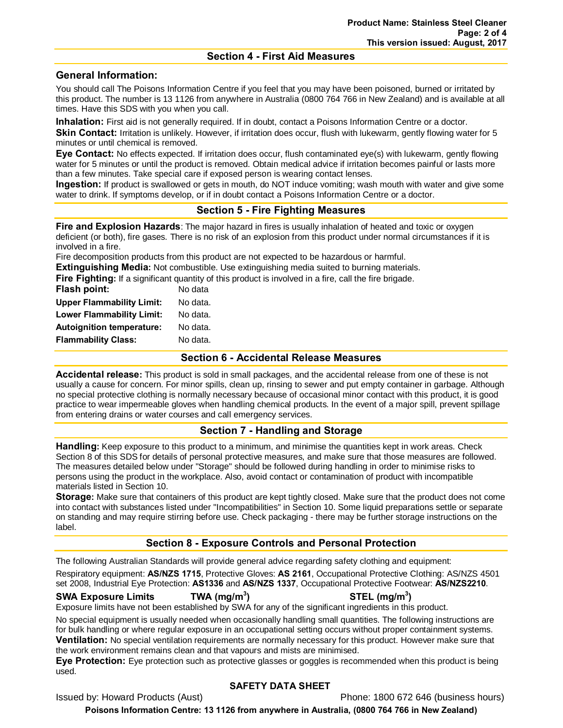#### **Section 4 - First Aid Measures**

## **General Information:**

You should call The Poisons Information Centre if you feel that you may have been poisoned, burned or irritated by this product. The number is 13 1126 from anywhere in Australia (0800 764 766 in New Zealand) and is available at all times. Have this SDS with you when you call.

**Inhalation:** First aid is not generally required. If in doubt, contact a Poisons Information Centre or a doctor. **Skin Contact:** Irritation is unlikely. However, if irritation does occur, flush with lukewarm, gently flowing water for 5 minutes or until chemical is removed.

**Eye Contact:** No effects expected. If irritation does occur, flush contaminated eye(s) with lukewarm, gently flowing water for 5 minutes or until the product is removed. Obtain medical advice if irritation becomes painful or lasts more than a few minutes. Take special care if exposed person is wearing contact lenses.

**Ingestion:** If product is swallowed or gets in mouth, do NOT induce vomiting; wash mouth with water and give some water to drink. If symptoms develop, or if in doubt contact a Poisons Information Centre or a doctor.

# **Section 5 - Fire Fighting Measures**

**Fire and Explosion Hazards**: The major hazard in fires is usually inhalation of heated and toxic or oxygen deficient (or both), fire gases. There is no risk of an explosion from this product under normal circumstances if it is involved in a fire.

Fire decomposition products from this product are not expected to be hazardous or harmful.

**Extinguishing Media:** Not combustible. Use extinguishing media suited to burning materials.

**Fire Fighting:** If a significant quantity of this product is involved in a fire, call the fire brigade.

| No data  |
|----------|
| No data. |
| No data. |
| No data. |
| No data. |
|          |

#### **Section 6 - Accidental Release Measures**

**Accidental release:** This product is sold in small packages, and the accidental release from one of these is not usually a cause for concern. For minor spills, clean up, rinsing to sewer and put empty container in garbage. Although no special protective clothing is normally necessary because of occasional minor contact with this product, it is good practice to wear impermeable gloves when handling chemical products. In the event of a major spill, prevent spillage from entering drains or water courses and call emergency services.

# **Section 7 - Handling and Storage**

**Handling:** Keep exposure to this product to a minimum, and minimise the quantities kept in work areas. Check Section 8 of this SDS for details of personal protective measures, and make sure that those measures are followed. The measures detailed below under "Storage" should be followed during handling in order to minimise risks to persons using the product in the workplace. Also, avoid contact or contamination of product with incompatible materials listed in Section 10.

**Storage:** Make sure that containers of this product are kept tightly closed. Make sure that the product does not come into contact with substances listed under "Incompatibilities" in Section 10. Some liquid preparations settle or separate on standing and may require stirring before use. Check packaging - there may be further storage instructions on the label.

# **Section 8 - Exposure Controls and Personal Protection**

The following Australian Standards will provide general advice regarding safety clothing and equipment: Respiratory equipment: **AS/NZS 1715**, Protective Gloves: **AS 2161**, Occupational Protective Clothing: AS/NZS 4501 set 2008, Industrial Eye Protection: **AS1336** and **AS/NZS 1337**, Occupational Protective Footwear: **AS/NZS2210**.

#### **SWA Exposure Limits TWA (mg/m3**

**) STEL (mg/m3 )** Exposure limits have not been established by SWA for any of the significant ingredients in this product.

No special equipment is usually needed when occasionally handling small quantities. The following instructions are for bulk handling or where regular exposure in an occupational setting occurs without proper containment systems. **Ventilation:** No special ventilation requirements are normally necessary for this product. However make sure that the work environment remains clean and that vapours and mists are minimised.

**Eye Protection:** Eye protection such as protective glasses or goggles is recommended when this product is being used.

## **SAFETY DATA SHEET**

Issued by: Howard Products (Aust) **Phone: 1800 672 646 (business hours)** Phone: 1800 672 646 (business hours)

**Poisons Information Centre: 13 1126 from anywhere in Australia, (0800 764 766 in New Zealand)**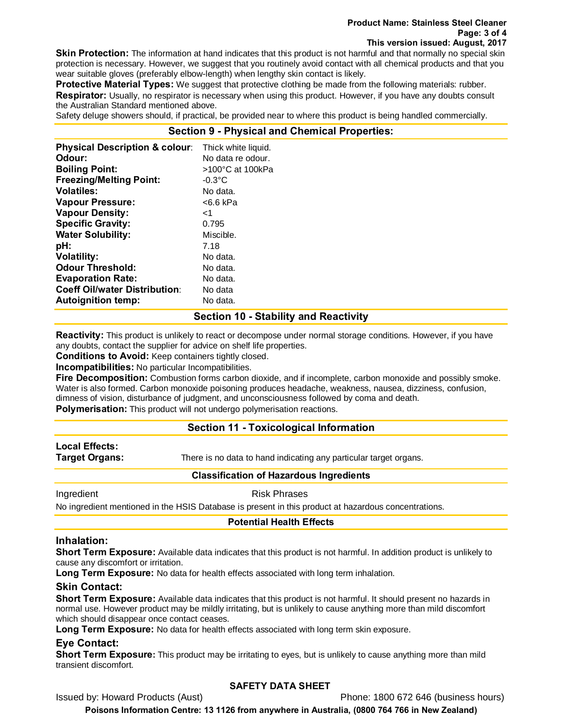#### **Product Name: Stainless Steel Cleaner Page: 3 of 4 This version issued: August, 2017**

**Skin Protection:** The information at hand indicates that this product is not harmful and that normally no special skin protection is necessary. However, we suggest that you routinely avoid contact with all chemical products and that you wear suitable gloves (preferably elbow-length) when lengthy skin contact is likely.

**Protective Material Types:** We suggest that protective clothing be made from the following materials: rubber. **Respirator:** Usually, no respirator is necessary when using this product. However, if you have any doubts consult the Australian Standard mentioned above.

Safety deluge showers should, if practical, be provided near to where this product is being handled commercially.

#### **Section 9 - Physical and Chemical Properties:**

| <b>Physical Description &amp; colour:</b> | Thick white liquid. |
|-------------------------------------------|---------------------|
| Odour:                                    | No data re odour.   |
| <b>Boiling Point:</b>                     | >100°C at 100kPa    |
| <b>Freezing/Melting Point:</b>            | $-0.3$ °C           |
| <b>Volatiles:</b>                         | No data.            |
| <b>Vapour Pressure:</b>                   | <6.6 kPa            |
| <b>Vapour Density:</b>                    | ا>                  |
| <b>Specific Gravity:</b>                  | 0.795               |
| <b>Water Solubility:</b>                  | Miscible.           |
| pH:                                       | 7.18                |
| <b>Volatility:</b>                        | No data.            |
| <b>Odour Threshold:</b>                   | No data.            |
| <b>Evaporation Rate:</b>                  | No data.            |
| <b>Coeff Oil/water Distribution:</b>      | No data             |
| <b>Autoignition temp:</b>                 | No data.            |

#### **Section 10 - Stability and Reactivity**

**Reactivity:** This product is unlikely to react or decompose under normal storage conditions. However, if you have any doubts, contact the supplier for advice on shelf life properties.

**Conditions to Avoid:** Keep containers tightly closed.

**Incompatibilities:** No particular Incompatibilities.

**Fire Decomposition:** Combustion forms carbon dioxide, and if incomplete, carbon monoxide and possibly smoke. Water is also formed. Carbon monoxide poisoning produces headache, weakness, nausea, dizziness, confusion, dimness of vision, disturbance of judgment, and unconsciousness followed by coma and death.

**Polymerisation:** This product will not undergo polymerisation reactions.

## **Section 11 - Toxicological Information**

# **Local Effects:**

**Target Organs:** There is no data to hand indicating any particular target organs.

#### **Classification of Hazardous Ingredients**

Ingredient **Risk Phrases** 

No ingredient mentioned in the HSIS Database is present in this product at hazardous concentrations.

#### **Potential Health Effects**

#### **Inhalation:**

**Short Term Exposure:** Available data indicates that this product is not harmful. In addition product is unlikely to cause any discomfort or irritation.

**Long Term Exposure:** No data for health effects associated with long term inhalation.

## **Skin Contact:**

**Short Term Exposure:** Available data indicates that this product is not harmful. It should present no hazards in normal use. However product may be mildly irritating, but is unlikely to cause anything more than mild discomfort which should disappear once contact ceases.

Long Term Exposure: No data for health effects associated with long term skin exposure.

## **Eye Contact:**

**Short Term Exposure:** This product may be irritating to eyes, but is unlikely to cause anything more than mild transient discomfort.

## **SAFETY DATA SHEET**

Issued by: Howard Products (Aust) Phone: 1800 672 646 (business hours)

**Poisons Information Centre: 13 1126 from anywhere in Australia, (0800 764 766 in New Zealand)**